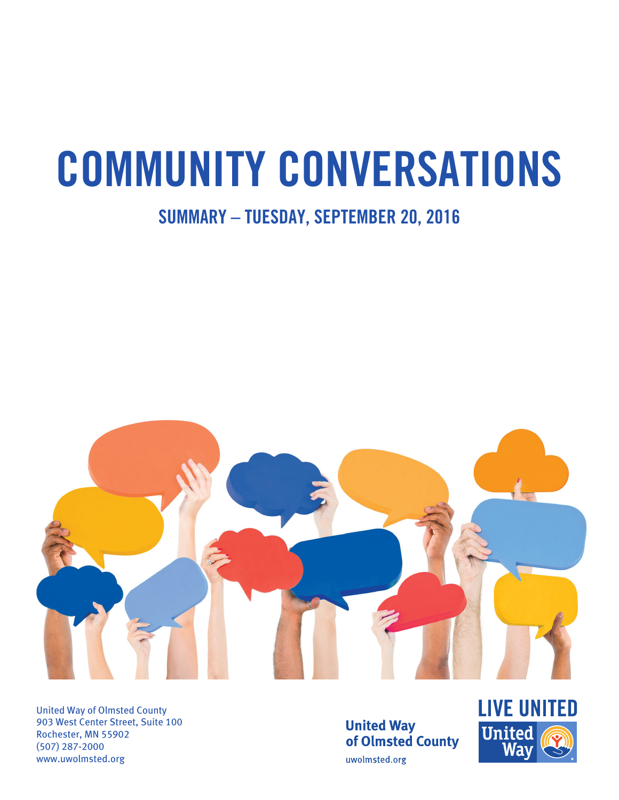# **COMMUNITY CONVERSATIONS**

# **SUMMARY – TUESDAY, SEPTEMBER 20, 2016**



United Way of Olmsted County 903 West Center Street, Suite 100 Rochester, MN 55902 (507) 287-2000 www.uwolmsted.org

**United Way** of Olmsted County uwolmsted.org

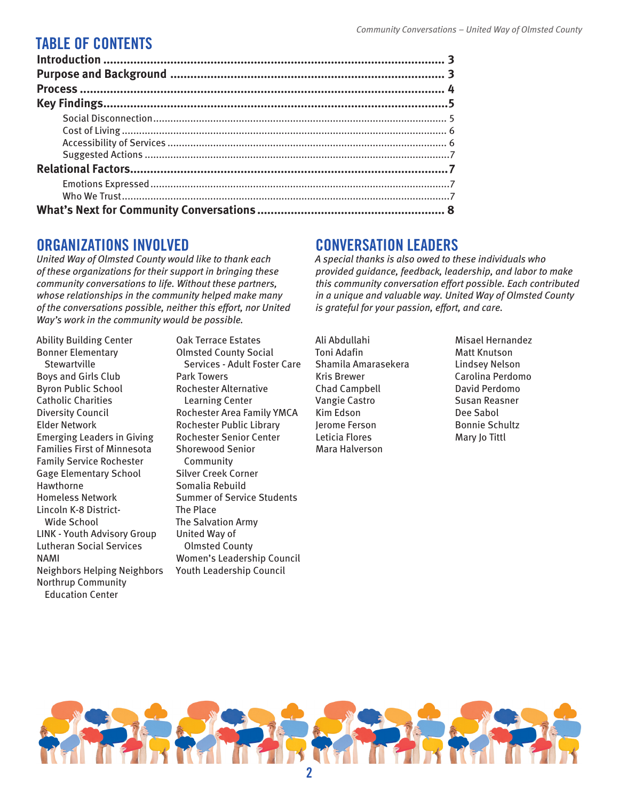## **TABLE OF CONTENTS**

## **ORGANIZATIONS INVOLVED**

*United Way of Olmsted County would like to thank each of these organizations for their support in bringing these community conversations to life. Without these partners, whose relationships in the community helped make many of the conversations possible, neither this effort, nor United Way's work in the community would be possible.* 

Ability Building Center Bonner Elementary **Stewartville** Boys and Girls Club Byron Public School Catholic Charities Diversity Council Elder Network Emerging Leaders in Giving Families First of Minnesota Family Service Rochester Gage Elementary School Hawthorne Homeless Network Lincoln K-8 District-Wide School LINK - Youth Advisory Group Lutheran Social Services NAMI Neighbors Helping Neighbors Northrup Community Education Center

Oak Terrace Estates Olmsted County Social Services - Adult Foster Care Park Towers Rochester Alternative Learning Center Rochester Area Family YMCA Rochester Public Library Rochester Senior Center Shorewood Senior Community Silver Creek Corner Somalia Rebuild Summer of Service Students The Place The Salvation Army United Way of Olmsted County Women's Leadership Council Youth Leadership Council

## **CONVERSATION LEADERS**

*A special thanks is also owed to these individuals who provided guidance, feedback, leadership, and labor to make this community conversation effort possible. Each contributed in a unique and valuable way. United Way of Olmsted County is grateful for your passion, effort, and care.* 

Ali Abdullahi Toni Adafin Shamila Amarasekera Kris Brewer Chad Campbell Vangie Castro Kim Edson Jerome Ferson Leticia Flores Mara Halverson

Misael Hernandez Matt Knutson Lindsey Nelson Carolina Perdomo David Perdomo Susan Reasner Dee Sabol Bonnie Schultz Mary Jo Tittl

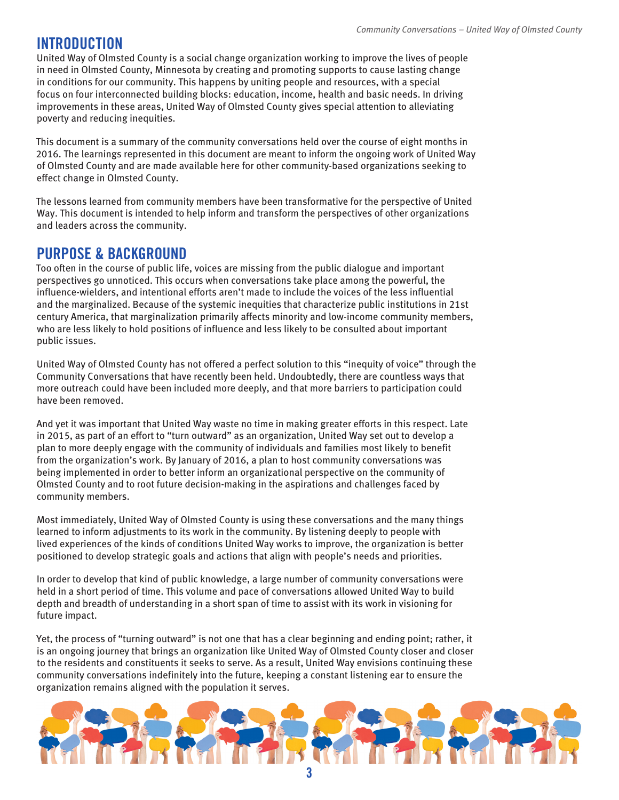## **INTRODUCTION**

United Way of Olmsted County is a social change organization working to improve the lives of people in need in Olmsted County, Minnesota by creating and promoting supports to cause lasting change in conditions for our community. This happens by uniting people and resources, with a special focus on four interconnected building blocks: education, income, health and basic needs. In driving improvements in these areas, United Way of Olmsted County gives special attention to alleviating poverty and reducing inequities.

This document is a summary of the community conversations held over the course of eight months in 2016. The learnings represented in this document are meant to inform the ongoing work of United Way of Olmsted County and are made available here for other community-based organizations seeking to effect change in Olmsted County.

The lessons learned from community members have been transformative for the perspective of United Way. This document is intended to help inform and transform the perspectives of other organizations and leaders across the community.

## **PURPOSE & BACKGROUND**

Too often in the course of public life, voices are missing from the public dialogue and important perspectives go unnoticed. This occurs when conversations take place among the powerful, the influence-wielders, and intentional efforts aren't made to include the voices of the less influential and the marginalized. Because of the systemic inequities that characterize public institutions in 21st century America, that marginalization primarily affects minority and low-income community members, who are less likely to hold positions of influence and less likely to be consulted about important public issues.

United Way of Olmsted County has not offered a perfect solution to this "inequity of voice" through the Community Conversations that have recently been held. Undoubtedly, there are countless ways that more outreach could have been included more deeply, and that more barriers to participation could have been removed.

And yet it was important that United Way waste no time in making greater efforts in this respect. Late in 2015, as part of an effort to "turn outward" as an organization, United Way set out to develop a plan to more deeply engage with the community of individuals and families most likely to benefit from the organization's work. By January of 2016, a plan to host community conversations was being implemented in order to better inform an organizational perspective on the community of Olmsted County and to root future decision-making in the aspirations and challenges faced by community members.

Most immediately, United Way of Olmsted County is using these conversations and the many things learned to inform adjustments to its work in the community. By listening deeply to people with lived experiences of the kinds of conditions United Way works to improve, the organization is better positioned to develop strategic goals and actions that align with people's needs and priorities.

In order to develop that kind of public knowledge, a large number of community conversations were held in a short period of time. This volume and pace of conversations allowed United Way to build depth and breadth of understanding in a short span of time to assist with its work in visioning for future impact.

Yet, the process of "turning outward" is not one that has a clear beginning and ending point; rather, it is an ongoing journey that brings an organization like United Way of Olmsted County closer and closer to the residents and constituents it seeks to serve. As a result, United Way envisions continuing these community conversations indefinitely into the future, keeping a constant listening ear to ensure the organization remains aligned with the population it serves.

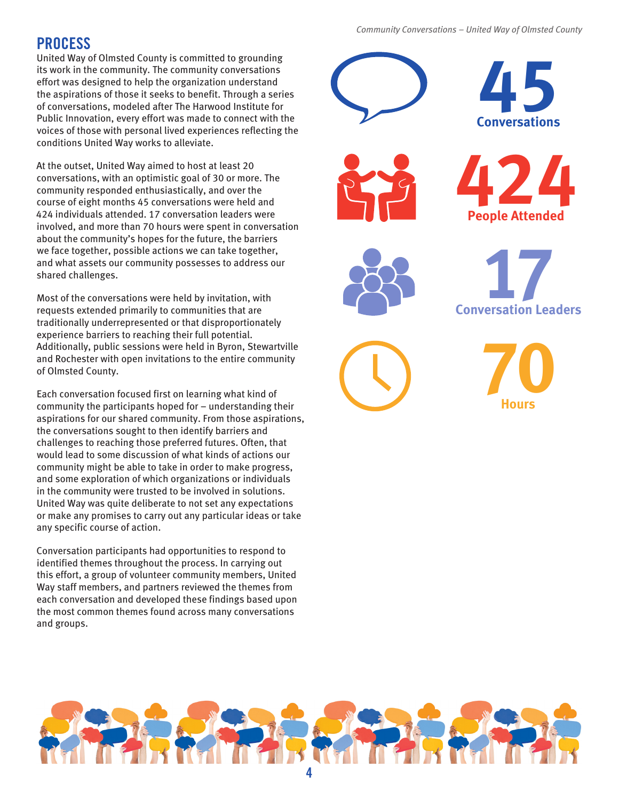#### *Community Conversations – United Way of Olmsted County*

## **PROCESS**

United Way of Olmsted County is committed to grounding its work in the community. The community conversations effort was designed to help the organization understand the aspirations of those it seeks to benefit. Through a series of conversations, modeled after The Harwood Institute for Public Innovation, every effort was made to connect with the voices of those with personal lived experiences reflecting the conditions United Way works to alleviate.

At the outset, United Way aimed to host at least 20 conversations, with an optimistic goal of 30 or more. The community responded enthusiastically, and over the course of eight months 45 conversations were held and 424 individuals attended. 17 conversation leaders were involved, and more than 70 hours were spent in conversation about the community's hopes for the future, the barriers we face together, possible actions we can take together, and what assets our community possesses to address our shared challenges.

Most of the conversations were held by invitation, with requests extended primarily to communities that are traditionally underrepresented or that disproportionately experience barriers to reaching their full potential. Additionally, public sessions were held in Byron, Stewartville and Rochester with open invitations to the entire community of Olmsted County.

Each conversation focused first on learning what kind of community the participants hoped for – understanding their aspirations for our shared community. From those aspirations, the conversations sought to then identify barriers and challenges to reaching those preferred futures. Often, that would lead to some discussion of what kinds of actions our community might be able to take in order to make progress, and some exploration of which organizations or individuals in the community were trusted to be involved in solutions. United Way was quite deliberate to not set any expectations or make any promises to carry out any particular ideas or take any specific course of action.

Conversation participants had opportunities to respond to identified themes throughout the process. In carrying out this effort, a group of volunteer community members, United Way staff members, and partners reviewed the themes from each conversation and developed these findings based upon the most common themes found across many conversations and groups.











**70 Hours**

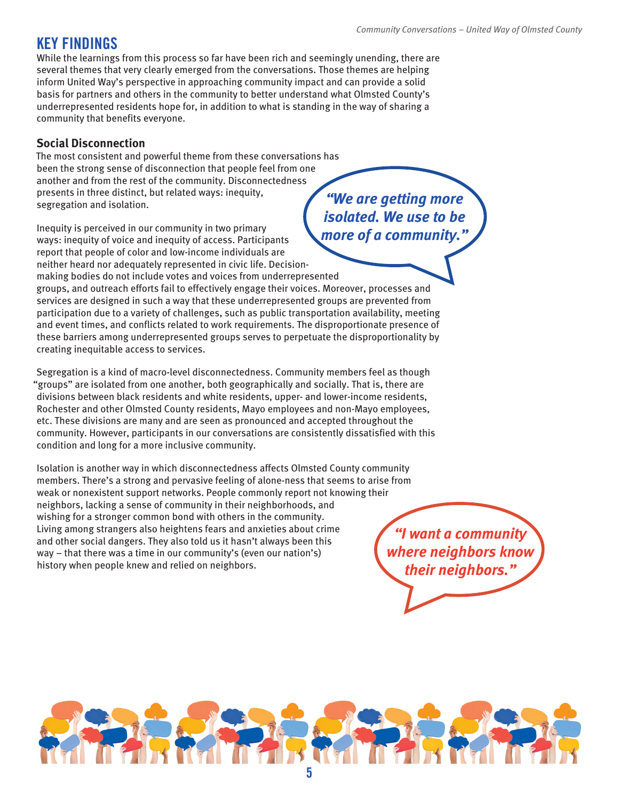## **KEY FINDINGS**

While the learnings from this process so far have been rich and seemingly unending, there are several themes that very clearly emerged from the conversations. Those themes are helping inform United Way's perspective in approaching community impact and can provide a solid basis for partners and others in the community to better understand what Olmsted County's underrepresented residents hope for, in addition to what is standing in the way of sharing a community that benefits everyone.

#### **Social Disconnection**

The most consistent and powerful theme from these conversations has been the strong sense of disconnection that people feel from one another and from the rest of the community. Disconnectedness presents in three distinct, but related ways: inequity, segregation and isolation. *"We are getting more isolated. We use to be* 

Inequity is perceived in our community in two primary ways: inequity of voice and inequity of access. Participants report that people of color and low-income individuals are neither heard nor adequately represented in civic life. Decision-

making bodies do not include votes and voices from underrepresented

groups, and outreach efforts fail to effectively engage their voices. Moreover, processes and services are designed in such a way that these underrepresented groups are prevented from participation due to a variety of challenges, such as public transportation availability, meeting and event times, and conflicts related to work requirements. The disproportionate presence of these barriers among underrepresented groups serves to perpetuate the disproportionality by creating inequitable access to services.

Segregation is a kind of macro-level disconnectedness. Community members feel as though "groups" are isolated from one another, both geographically and socially. That is, there are divisions between black residents and white residents, upper- and lower-income residents, Rochester and other Olmsted County residents, Mayo employees and non-Mayo employees, etc. These divisions are many and are seen as pronounced and accepted throughout the community. However, participants in our conversations are consistently dissatisfied with this condition and long for a more inclusive community.

Isolation is another way in which disconnectedness affects Olmsted County community members. There's a strong and pervasive feeling of alone-ness that seems to arise from weak or nonexistent support networks. People commonly report not knowing their neighbors, lacking a sense of community in their neighborhoods, and wishing for a stronger common bond with others in the community. Living among strangers also heightens fears and anxieties about crime and other social dangers. They also told us it hasn't always been this way – that there was a time in our community's (even our nation's) history when people knew and relied on neighbors.

*more of a community."*

*"I want a community where neighbors know their neighbors."*

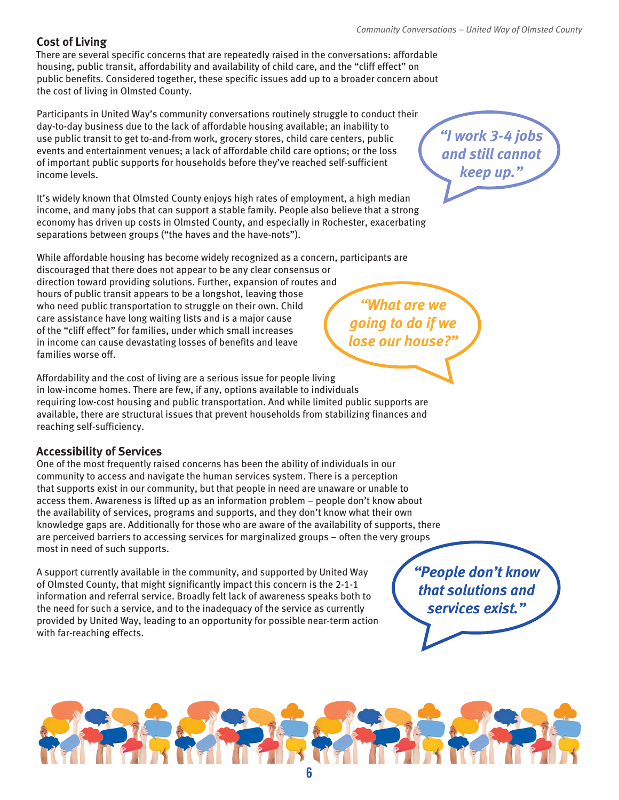#### **Cost of Living**

There are several specific concerns that are repeatedly raised in the conversations: affordable housing, public transit, affordability and availability of child care, and the "cliff effect" on public benefits. Considered together, these specific issues add up to a broader concern about the cost of living in Olmsted County.

Participants in United Way's community conversations routinely struggle to conduct their day-to-day business due to the lack of affordable housing available; an inability to use public transit to get to-and-from work, grocery stores, child care centers, public events and entertainment venues; a lack of affordable child care options; or the loss of important public supports for households before they've reached self-sufficient income levels.

It's widely known that Olmsted County enjoys high rates of employment, a high median income, and many jobs that can support a stable family. People also believe that a strong economy has driven up costs in Olmsted County, and especially in Rochester, exacerbating separations between groups ("the haves and the have-nots").

While affordable housing has become widely recognized as a concern, participants are discouraged that there does not appear to be any clear consensus or direction toward providing solutions. Further, expansion of routes and hours of public transit appears to be a longshot, leaving those who need public transportation to struggle on their own. Child care assistance have long waiting lists and is a major cause of the "cliff effect" for families, under which small increases in income can cause devastating losses of benefits and leave families worse off.

Affordability and the cost of living are a serious issue for people living in low-income homes. There are few, if any, options available to individuals requiring low-cost housing and public transportation. And while limited public supports are available, there are structural issues that prevent households from stabilizing finances and reaching self-sufficiency.

#### **Accessibility of Services**

One of the most frequently raised concerns has been the ability of individuals in our community to access and navigate the human services system. There is a perception that supports exist in our community, but that people in need are unaware or unable to access them. Awareness is lifted up as an information problem – people don't know about the availability of services, programs and supports, and they don't know what their own knowledge gaps are. Additionally for those who are aware of the availability of supports, there are perceived barriers to accessing services for marginalized groups – often the very groups most in need of such supports.

A support currently available in the community, and supported by United Way of Olmsted County, that might significantly impact this concern is the 2-1-1 information and referral service. Broadly felt lack of awareness speaks both to the need for such a service, and to the inadequacy of the service as currently provided by United Way, leading to an opportunity for possible near-term action with far-reaching effects.

*"People don't know that solutions and services exist."*



*"I work 3-4 jobs and still cannot keep up."*

*"What are we going to do if we lose our house?"*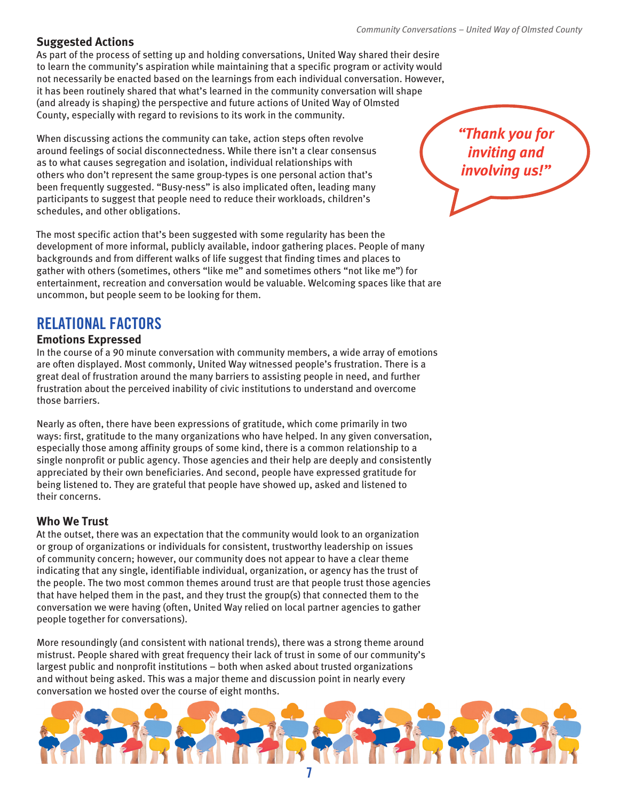#### **Suggested Actions**

As part of the process of setting up and holding conversations, United Way shared their desire to learn the community's aspiration while maintaining that a specific program or activity would not necessarily be enacted based on the learnings from each individual conversation. However, it has been routinely shared that what's learned in the community conversation will shape (and already is shaping) the perspective and future actions of United Way of Olmsted County, especially with regard to revisions to its work in the community.

When discussing actions the community can take, action steps often revolve around feelings of social disconnectedness. While there isn't a clear consensus as to what causes segregation and isolation, individual relationships with others who don't represent the same group-types is one personal action that's been frequently suggested. "Busy-ness" is also implicated often, leading many participants to suggest that people need to reduce their workloads, children's schedules, and other obligations.

The most specific action that's been suggested with some regularity has been the development of more informal, publicly available, indoor gathering places. People of many backgrounds and from different walks of life suggest that finding times and places to gather with others (sometimes, others "like me" and sometimes others "not like me") for entertainment, recreation and conversation would be valuable. Welcoming spaces like that are uncommon, but people seem to be looking for them.

# **RELATIONAL FACTORS**

#### **Emotions Expressed**

In the course of a 90 minute conversation with community members, a wide array of emotions are often displayed. Most commonly, United Way witnessed people's frustration. There is a great deal of frustration around the many barriers to assisting people in need, and further frustration about the perceived inability of civic institutions to understand and overcome those barriers.

Nearly as often, there have been expressions of gratitude, which come primarily in two ways: first, gratitude to the many organizations who have helped. In any given conversation, especially those among affinity groups of some kind, there is a common relationship to a single nonprofit or public agency. Those agencies and their help are deeply and consistently appreciated by their own beneficiaries. And second, people have expressed gratitude for being listened to. They are grateful that people have showed up, asked and listened to their concerns.

#### **Who We Trust**

At the outset, there was an expectation that the community would look to an organization or group of organizations or individuals for consistent, trustworthy leadership on issues of community concern; however, our community does not appear to have a clear theme indicating that any single, identifiable individual, organization, or agency has the trust of the people. The two most common themes around trust are that people trust those agencies that have helped them in the past, and they trust the group(s) that connected them to the conversation we were having (often, United Way relied on local partner agencies to gather people together for conversations).

More resoundingly (and consistent with national trends), there was a strong theme around mistrust. People shared with great frequency their lack of trust in some of our community's largest public and nonprofit institutions – both when asked about trusted organizations and without being asked. This was a major theme and discussion point in nearly every conversation we hosted over the course of eight months.